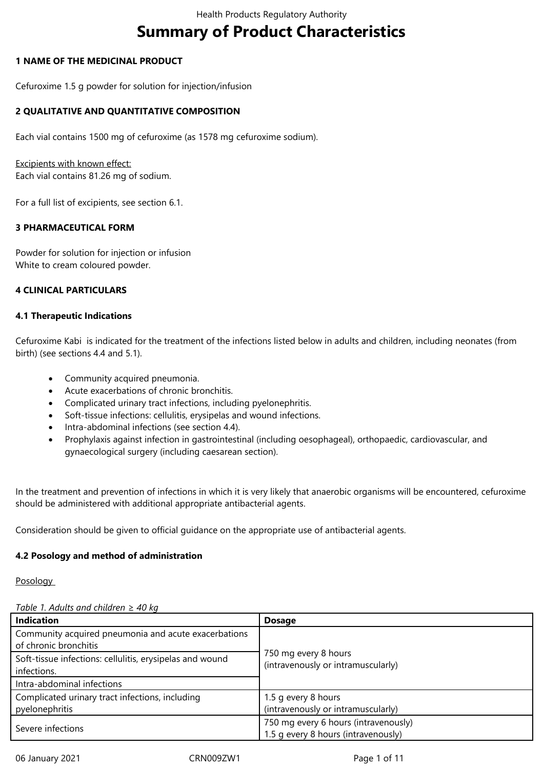# **Summary of Product Characteristics**

# **1 NAME OF THE MEDICINAL PRODUCT**

Cefuroxime 1.5 g powder for solution for injection/infusion

# **2 QUALITATIVE AND QUANTITATIVE COMPOSITION**

Each vial contains 1500 mg of cefuroxime (as 1578 mg cefuroxime sodium).

Excipients with known effect:

Each vial contains 81.26 mg of sodium.

For a full list of excipients, see section 6.1.

# **3 PHARMACEUTICAL FORM**

Powder for solution for injection or infusion White to cream coloured powder.

# **4 CLINICAL PARTICULARS**

### **4.1 Therapeutic Indications**

Cefuroxime Kabi is indicated for the treatment of the infections listed below in adults and children, including neonates (from birth) (see sections 4.4 and 5.1).

- Community acquired pneumonia.
- Acute exacerbations of chronic bronchitis.
- Complicated urinary tract infections, including pyelonephritis.
- Soft-tissue infections: cellulitis, erysipelas and wound infections.
- Intra-abdominal infections (see section 4.4).
- Prophylaxis against infection in gastrointestinal (including oesophageal), orthopaedic, cardiovascular, and gynaecological surgery (including caesarean section).

In the treatment and prevention of infections in which it is very likely that anaerobic organisms will be encountered, cefuroxime should be administered with additional appropriate antibacterial agents.

Consideration should be given to official guidance on the appropriate use of antibacterial agents.

### **4.2 Posology and method of administration**

**Posology** 

### *Table 1. Adults and children* ≥ *40 kg*

| <b>Indication</b>                                                             | <b>Dosage</b>                                                               |  |
|-------------------------------------------------------------------------------|-----------------------------------------------------------------------------|--|
| Community acquired pneumonia and acute exacerbations<br>of chronic bronchitis |                                                                             |  |
| Soft-tissue infections: cellulitis, erysipelas and wound<br>infections.       | 750 mg every 8 hours<br>(intravenously or intramuscularly)                  |  |
| Intra-abdominal infections                                                    |                                                                             |  |
| Complicated urinary tract infections, including<br>pyelonephritis             | 1.5 g every 8 hours<br>(intravenously or intramuscularly)                   |  |
| Severe infections                                                             | 750 mg every 6 hours (intravenously)<br>1.5 g every 8 hours (intravenously) |  |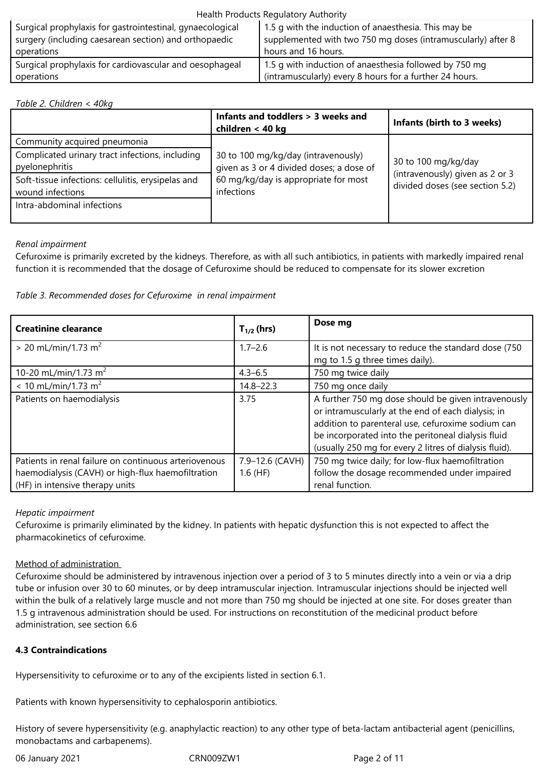### Health Products Regulatory Authority

| Surgical prophylaxis for gastrointestinal, gynaecological<br>surgery (including caesarean section) and orthopaedic | 1.5 g with the induction of anaesthesia. This may be<br>supplemented with two 750 mg doses (intramuscularly) after 8 |
|--------------------------------------------------------------------------------------------------------------------|----------------------------------------------------------------------------------------------------------------------|
| operations                                                                                                         | hours and 16 hours.                                                                                                  |
| Surgical prophylaxis for cardiovascular and oesophageal                                                            | 1.5 g with induction of anaesthesia followed by 750 mg                                                               |
| operations                                                                                                         | (intramuscularly) every 8 hours for a further 24 hours.                                                              |

### *Table 2. Children < 40kg*

|                                                                        | Infants and toddlers > 3 weeks and<br>children < 40 kg                          | Infants (birth to 3 weeks)                                         |  |  |
|------------------------------------------------------------------------|---------------------------------------------------------------------------------|--------------------------------------------------------------------|--|--|
| Community acquired pneumonia                                           |                                                                                 |                                                                    |  |  |
| Complicated urinary tract infections, including<br>pyelonephritis      | 30 to 100 mg/kg/day (intravenously)<br>given as 3 or 4 divided doses; a dose of | 30 to 100 mg/kg/day                                                |  |  |
| Soft-tissue infections: cellulitis, erysipelas and<br>wound infections | 60 mg/kg/day is appropriate for most<br>infections                              | (intravenously) given as 2 or 3<br>divided doses (see section 5.2) |  |  |
| Intra-abdominal infections                                             |                                                                                 |                                                                    |  |  |

# *Renal impairment*

Cefuroxime is primarily excreted by the kidneys. Therefore, as with all such antibiotics, in patients with markedly impaired renal function it is recommended that the dosage of Cefuroxime should be reduced to compensate for its slower excretion

# *Table 3. Recommended doses for Cefuroxime in renal impairment*

| <b>Creatinine clearance</b>                                                                                                                   | $T_{1/2}$ (hrs)               | Dose mg                                                                                                                                                                                                                                                                        |
|-----------------------------------------------------------------------------------------------------------------------------------------------|-------------------------------|--------------------------------------------------------------------------------------------------------------------------------------------------------------------------------------------------------------------------------------------------------------------------------|
| $> 20$ mL/min/1.73 m <sup>2</sup>                                                                                                             | $1.7 - 2.6$                   | It is not necessary to reduce the standard dose (750<br>mg to 1.5 g three times daily).                                                                                                                                                                                        |
| 10-20 mL/min/1.73 m <sup>2</sup>                                                                                                              | $4.3 - 6.5$                   | 750 mg twice daily                                                                                                                                                                                                                                                             |
| $< 10$ mL/min/1.73 m <sup>2</sup>                                                                                                             | $14.8 - 22.3$                 | 750 mg once daily                                                                                                                                                                                                                                                              |
| Patients on haemodialysis                                                                                                                     | 3.75                          | A further 750 mg dose should be given intravenously<br>or intramuscularly at the end of each dialysis; in<br>addition to parenteral use, cefuroxime sodium can<br>be incorporated into the peritoneal dialysis fluid<br>(usually 250 mg for every 2 litres of dialysis fluid). |
| Patients in renal failure on continuous arteriovenous<br>haemodialysis (CAVH) or high-flux haemofiltration<br>(HF) in intensive therapy units | 7.9-12.6 (CAVH)<br>$1.6$ (HF) | 750 mg twice daily; for low-flux haemofiltration<br>follow the dosage recommended under impaired<br>renal function.                                                                                                                                                            |

# *Hepatic impairment*

Cefuroxime is primarily eliminated by the kidney. In patients with hepatic dysfunction this is not expected to affect the pharmacokinetics of cefuroxime.

# Method of administration

Cefuroxime should be administered by intravenous injection over a period of 3 to 5 minutes directly into a vein or via a drip tube or infusion over 30 to 60 minutes, or by deep intramuscular injection. Intramuscular injections should be injected well within the bulk of a relatively large muscle and not more than 750 mg should be injected at one site. For doses greater than 1.5 g intravenous administration should be used. For instructions on reconstitution of the medicinal product before administration, see section 6.6

# **4.3 Contraindications**

Hypersensitivity to cefuroxime or to any of the excipients listed in section 6.1.

Patients with known hypersensitivity to cephalosporin antibiotics.

History of severe hypersensitivity (e.g. anaphylactic reaction) to any other type of beta-lactam antibacterial agent (penicillins, monobactams and carbapenems).

06 January 2021 CRN009ZW1 Page 2 of 11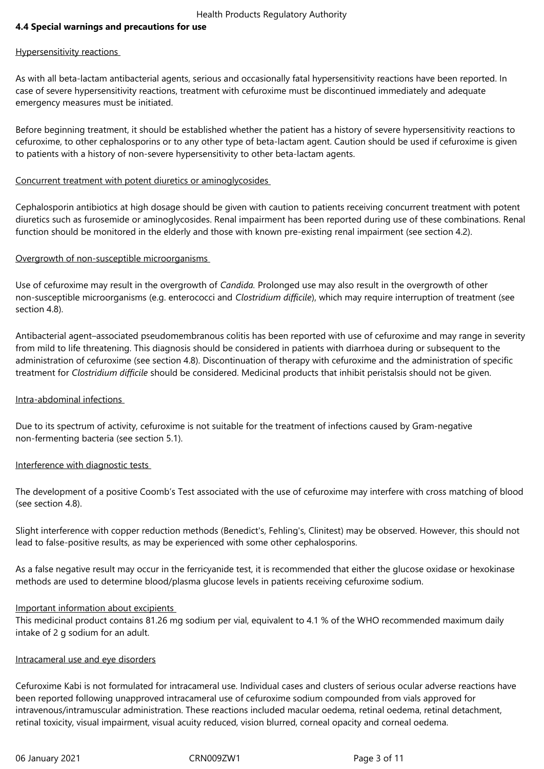# **4.4 Special warnings and precautions for use**

### Hypersensitivity reactions

As with all beta-lactam antibacterial agents, serious and occasionally fatal hypersensitivity reactions have been reported. In case of severe hypersensitivity reactions, treatment with cefuroxime must be discontinued immediately and adequate emergency measures must be initiated.

Before beginning treatment, it should be established whether the patient has a history of severe hypersensitivity reactions to cefuroxime, to other cephalosporins or to any other type of beta-lactam agent. Caution should be used if cefuroxime is given to patients with a history of non-severe hypersensitivity to other beta-lactam agents.

### Concurrent treatment with potent diuretics or aminoglycosides

Cephalosporin antibiotics at high dosage should be given with caution to patients receiving concurrent treatment with potent diuretics such as furosemide or aminoglycosides. Renal impairment has been reported during use of these combinations. Renal function should be monitored in the elderly and those with known pre-existing renal impairment (see section 4.2).

### Overgrowth of non-susceptible microorganisms

Use of cefuroxime may result in the overgrowth of *Candida.* Prolonged use may also result in the overgrowth of other non-susceptible microorganisms (e.g. enterococci and *Clostridium difficile*), which may require interruption of treatment (see section 4.8).

Antibacterial agent–associated pseudomembranous colitis has been reported with use of cefuroxime and may range in severity from mild to life threatening. This diagnosis should be considered in patients with diarrhoea during or subsequent to the administration of cefuroxime (see section 4.8). Discontinuation of therapy with cefuroxime and the administration of specific treatment for *Clostridium difficile* should be considered. Medicinal products that inhibit peristalsis should not be given.

### Intra-abdominal infections

Due to its spectrum of activity, cefuroxime is not suitable for the treatment of infections caused by Gram-negative non-fermenting bacteria (see section 5.1).

### Interference with diagnostic tests

The development of a positive Coomb's Test associated with the use of cefuroxime may interfere with cross matching of blood (see section 4.8).

Slight interference with copper reduction methods (Benedict's, Fehling's, Clinitest) may be observed. However, this should not lead to false-positive results, as may be experienced with some other cephalosporins.

As a false negative result may occur in the ferricyanide test, it is recommended that either the glucose oxidase or hexokinase methods are used to determine blood/plasma glucose levels in patients receiving cefuroxime sodium.

#### Important information about excipients

This medicinal product contains 81.26 mg sodium per vial, equivalent to 4.1 % of the WHO recommended maximum daily intake of 2 g sodium for an adult.

#### Intracameral use and eye disorders

Cefuroxime Kabi is not formulated for intracameral use. Individual cases and clusters of serious ocular adverse reactions have been reported following unapproved intracameral use of cefuroxime sodium compounded from vials approved for intravenous/intramuscular administration. These reactions included macular oedema, retinal oedema, retinal detachment, retinal toxicity, visual impairment, visual acuity reduced, vision blurred, corneal opacity and corneal oedema.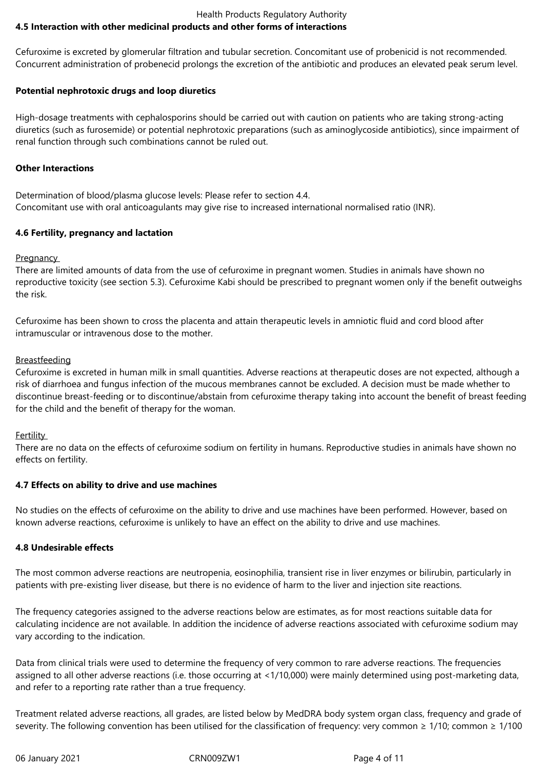### Health Products Regulatory Authority **4.5 Interaction with other medicinal products and other forms of interactions**

Cefuroxime is excreted by glomerular filtration and tubular secretion. Concomitant use of probenicid is not recommended. Concurrent administration of probenecid prolongs the excretion of the antibiotic and produces an elevated peak serum level.

# **Potential nephrotoxic drugs and loop diuretics**

High-dosage treatments with cephalosporins should be carried out with caution on patients who are taking strong-acting diuretics (such as furosemide) or potential nephrotoxic preparations (such as aminoglycoside antibiotics), since impairment of renal function through such combinations cannot be ruled out.

### **Other Interactions**

Determination of blood/plasma glucose levels: Please refer to section 4.4. Concomitant use with oral anticoagulants may give rise to increased international normalised ratio (INR).

# **4.6 Fertility, pregnancy and lactation**

**Pregnancy** 

There are limited amounts of data from the use of cefuroxime in pregnant women. Studies in animals have shown no reproductive toxicity (see section 5.3). Cefuroxime Kabi should be prescribed to pregnant women only if the benefit outweighs the risk.

Cefuroxime has been shown to cross the placenta and attain therapeutic levels in amniotic fluid and cord blood after intramuscular or intravenous dose to the mother.

### **Breastfeeding**

Cefuroxime is excreted in human milk in small quantities. Adverse reactions at therapeutic doses are not expected, although a risk of diarrhoea and fungus infection of the mucous membranes cannot be excluded. A decision must be made whether to discontinue breast-feeding or to discontinue/abstain from cefuroxime therapy taking into account the benefit of breast feeding for the child and the benefit of therapy for the woman.

### Fertility

There are no data on the effects of cefuroxime sodium on fertility in humans. Reproductive studies in animals have shown no effects on fertility.

### **4.7 Effects on ability to drive and use machines**

No studies on the effects of cefuroxime on the ability to drive and use machines have been performed. However, based on known adverse reactions, cefuroxime is unlikely to have an effect on the ability to drive and use machines.

# **4.8 Undesirable effects**

The most common adverse reactions are neutropenia, eosinophilia, transient rise in liver enzymes or bilirubin, particularly in patients with pre-existing liver disease, but there is no evidence of harm to the liver and injection site reactions.

The frequency categories assigned to the adverse reactions below are estimates, as for most reactions suitable data for calculating incidence are not available. In addition the incidence of adverse reactions associated with cefuroxime sodium may vary according to the indication.

Data from clinical trials were used to determine the frequency of very common to rare adverse reactions. The frequencies assigned to all other adverse reactions (i.e. those occurring at <1/10,000) were mainly determined using post-marketing data, and refer to a reporting rate rather than a true frequency.

Treatment related adverse reactions, all grades, are listed below by MedDRA body system organ class, frequency and grade of severity. The following convention has been utilised for the classification of frequency: very common  $\geq 1/10$ ; common  $\geq 1/100$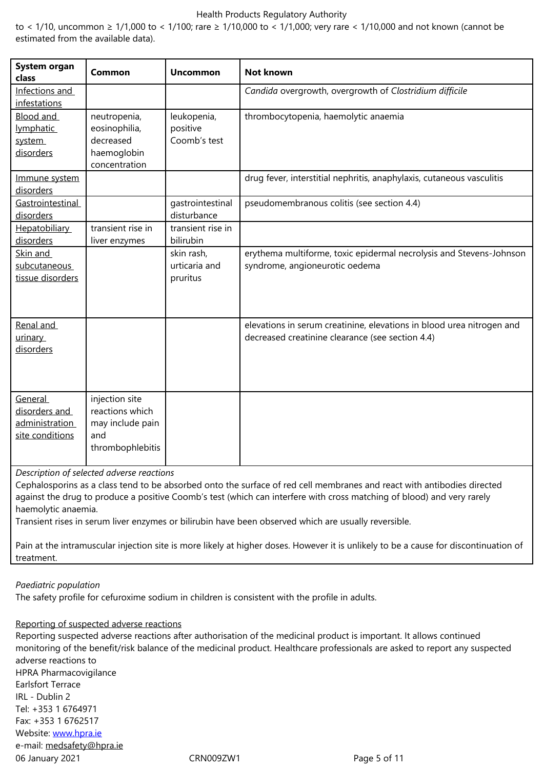| System organ<br>class                                         | Common                                                                           | <b>Uncommon</b>                         | <b>Not known</b>                                                                                                          |
|---------------------------------------------------------------|----------------------------------------------------------------------------------|-----------------------------------------|---------------------------------------------------------------------------------------------------------------------------|
| Infections and<br>infestations                                |                                                                                  |                                         | Candida overgrowth, overgrowth of Clostridium difficile                                                                   |
| Blood and<br><i>lymphatic</i><br>system<br>disorders          | neutropenia,<br>eosinophilia,<br>decreased<br>haemoglobin<br>concentration       | leukopenia,<br>positive<br>Coomb's test | thrombocytopenia, haemolytic anaemia                                                                                      |
| Immune system<br>disorders                                    |                                                                                  |                                         | drug fever, interstitial nephritis, anaphylaxis, cutaneous vasculitis                                                     |
| Gastrointestinal<br>disorders                                 |                                                                                  | gastrointestinal<br>disturbance         | pseudomembranous colitis (see section 4.4)                                                                                |
| Hepatobiliary<br>disorders                                    | transient rise in<br>liver enzymes                                               | transient rise in<br>bilirubin          |                                                                                                                           |
| Skin and<br>subcutaneous<br>tissue disorders                  |                                                                                  | skin rash,<br>urticaria and<br>pruritus | erythema multiforme, toxic epidermal necrolysis and Stevens-Johnson<br>syndrome, angioneurotic oedema                     |
| Renal and<br>urinary<br>disorders                             |                                                                                  |                                         | elevations in serum creatinine, elevations in blood urea nitrogen and<br>decreased creatinine clearance (see section 4.4) |
| General<br>disorders and<br>administration<br>site conditions | injection site<br>reactions which<br>may include pain<br>and<br>thrombophlebitis |                                         |                                                                                                                           |

*Description of selected adverse reactions* 

Cephalosporins as a class tend to be absorbed onto the surface of red cell membranes and react with antibodies directed against the drug to produce a positive Coomb's test (which can interfere with cross matching of blood) and very rarely haemolytic anaemia.

Transient rises in serum liver enzymes or bilirubin have been observed which are usually reversible.

Pain at the intramuscular injection site is more likely at higher doses. However it is unlikely to be a cause for discontinuation of treatment.

### *Paediatric population*

The safety profile for cefuroxime sodium in children is consistent with the profile in adults.

#### Reporting of suspected adverse reactions

06 January 2021 CRN009ZW1 Page 5 of 11 Reporting suspected adverse reactions after authorisation of the medicinal product is important. It allows continued monitoring of the benefit/risk balance of the medicinal product. Healthcare professionals are asked to report any suspected adverse reactions to HPRA Pharmacovigilance Earlsfort Terrace IRL - Dublin 2 Tel: +353 1 6764971 Fax: +353 1 6762517 Website: www.hpra.ie e-mail: medsafety@hpra.ie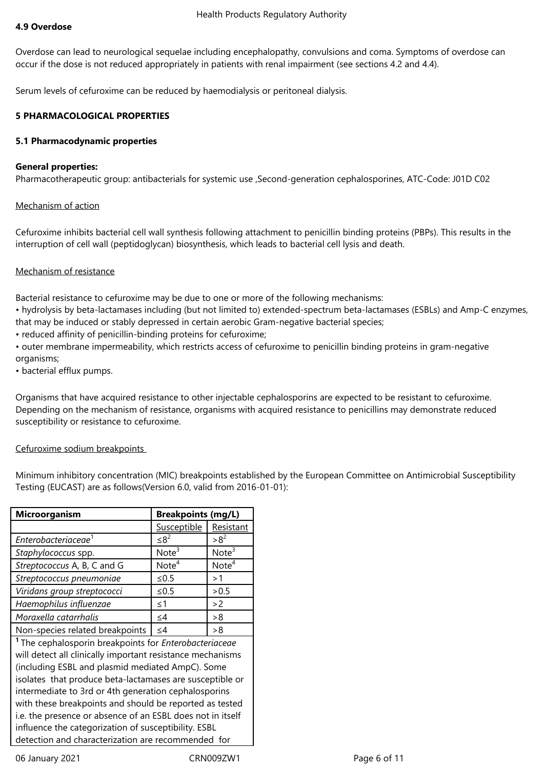Overdose can lead to neurological sequelae including encephalopathy, convulsions and coma. Symptoms of overdose can occur if the dose is not reduced appropriately in patients with renal impairment (see sections 4.2 and 4.4).

Serum levels of cefuroxime can be reduced by haemodialysis or peritoneal dialysis.

# **5 PHARMACOLOGICAL PROPERTIES**

# **5.1 Pharmacodynamic properties**

# **General properties:**

Pharmacotherapeutic group: antibacterials for systemic use ,Second-generation cephalosporines, ATC-Code: J01D C02

# Mechanism of action

Cefuroxime inhibits bacterial cell wall synthesis following attachment to penicillin binding proteins (PBPs). This results in the interruption of cell wall (peptidoglycan) biosynthesis, which leads to bacterial cell lysis and death.

# Mechanism of resistance

Bacterial resistance to cefuroxime may be due to one or more of the following mechanisms:

• hydrolysis by beta-lactamases including (but not limited to) extended-spectrum beta-lactamases (ESBLs) and Amp-C enzymes, that may be induced or stably depressed in certain aerobic Gram-negative bacterial species;

• reduced affinity of penicillin-binding proteins for cefuroxime;

• outer membrane impermeability, which restricts access of cefuroxime to penicillin binding proteins in gram-negative organisms;

• bacterial efflux pumps.

Organisms that have acquired resistance to other injectable cephalosporins are expected to be resistant to cefuroxime. Depending on the mechanism of resistance, organisms with acquired resistance to penicillins may demonstrate reduced susceptibility or resistance to cefuroxime.

# Cefuroxime sodium breakpoints

Minimum inhibitory concentration (MIC) breakpoints established by the European Committee on Antimicrobial Susceptibility Testing (EUCAST) are as follows(Version 6.0, valid from 2016-01-01):

| Microorganism                                                            | <b>Breakpoints (mg/L)</b> |                   |  |  |
|--------------------------------------------------------------------------|---------------------------|-------------------|--|--|
|                                                                          | Susceptible               | Resistant         |  |  |
| Enterobacteriaceae <sup>1</sup>                                          | $\leq8^2$                 | $>8^2$            |  |  |
| Staphylococcus spp.                                                      | Note <sup>3</sup>         | Note <sup>3</sup> |  |  |
| Streptococcus A, B, C and G                                              | Note <sup>4</sup>         | Note <sup>4</sup> |  |  |
| Streptococcus pneumoniae                                                 | $≤ 0.5$                   | >1                |  |  |
| Viridans group streptococci                                              | $≤ 0.5$                   | > 0.5             |  |  |
| Haemophilus influenzae                                                   | $\leq$ 1                  | >2                |  |  |
| Moraxella catarrhalis                                                    | $\leq$ 4                  | >8                |  |  |
| Non-species related breakpoints                                          | $\leq 4$                  | >8                |  |  |
| <sup>1</sup> The cephalosporin breakpoints for <i>Enterobacteriaceae</i> |                           |                   |  |  |
| will detect all clinically important resistance mechanisms               |                           |                   |  |  |
| (including ESBL and plasmid mediated AmpC). Some                         |                           |                   |  |  |
| isolates that produce beta-lactamases are susceptible or                 |                           |                   |  |  |
| intermediate to 3rd or 4th generation cephalosporins                     |                           |                   |  |  |
| with these breakpoints and should be reported as tested                  |                           |                   |  |  |
| i.e. the presence or absence of an ESBL does not in itself               |                           |                   |  |  |
| influence the categorization of susceptibility. ESBL                     |                           |                   |  |  |
| detection and characterization are recommended for                       |                           |                   |  |  |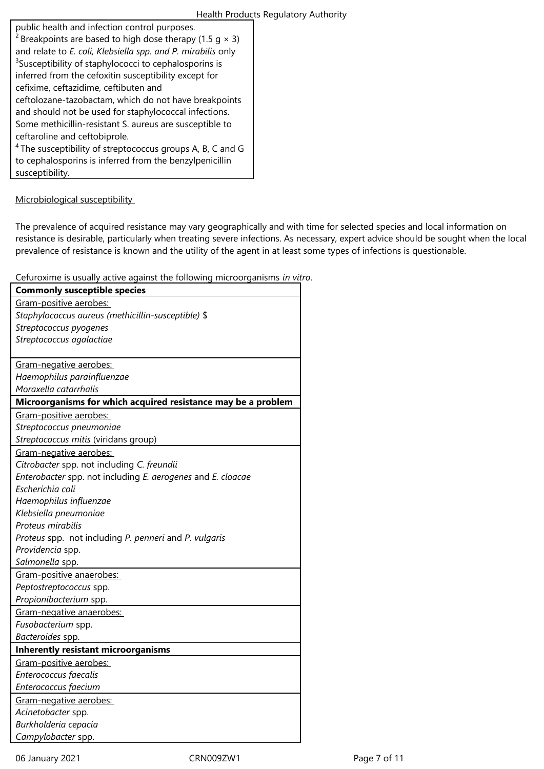| public health and infection control purposes.                              |
|----------------------------------------------------------------------------|
| <sup>2</sup> Breakpoints are based to high dose therapy (1.5 g $\times$ 3) |
| and relate to E. coli, Klebsiella spp. and P. mirabilis only               |
| <sup>3</sup> Susceptibility of staphylococci to cephalosporins is          |
| inferred from the cefoxitin susceptibility except for                      |
| cefixime, ceftazidime, ceftibuten and                                      |
| ceftolozane-tazobactam, which do not have breakpoints                      |
| and should not be used for staphylococcal infections.                      |
| Some methicillin-resistant S. aureus are susceptible to                    |
| ceftaroline and ceftobiprole.                                              |
| <sup>4</sup> The susceptibility of streptococcus groups A, B, C and G      |
| to cephalosporins is inferred from the benzylpenicillin                    |
| susceptibility.                                                            |

# Microbiological susceptibility

The prevalence of acquired resistance may vary geographically and with time for selected species and local information on resistance is desirable, particularly when treating severe infections. As necessary, expert advice should be sought when the local prevalence of resistance is known and the utility of the agent in at least some types of infections is questionable.

Cefuroxime is usually active against the following microorganisms *in vitro*.

| <b>Commonly susceptible species</b>                           |
|---------------------------------------------------------------|
| Gram-positive aerobes:                                        |
| Staphylococcus aureus (methicillin-susceptible) \$            |
| Streptococcus pyogenes                                        |
| Streptococcus agalactiae                                      |
|                                                               |
| Gram-negative aerobes:                                        |
| Haemophilus parainfluenzae                                    |
| Moraxella catarrhalis                                         |
| Microorganisms for which acquired resistance may be a problem |
| Gram-positive aerobes:                                        |
| Streptococcus pneumoniae                                      |
| Streptococcus mitis (viridans group)                          |
| Gram-negative aerobes:                                        |
| Citrobacter spp. not including C. freundii                    |
| Enterobacter spp. not including E. aerogenes and E. cloacae   |
| Escherichia coli                                              |
| Haemophilus influenzae                                        |
| Klebsiella pneumoniae                                         |
| Proteus mirabilis                                             |
| Proteus spp. not including P. penneri and P. vulgaris         |
| Providencia spp.                                              |
| Salmonella spp.                                               |
| Gram-positive anaerobes:                                      |
| Peptostreptococcus spp.                                       |
| Propionibacterium spp.                                        |
| Gram-negative anaerobes:                                      |
| Fusobacterium spp.                                            |
| Bacteroides spp.                                              |
| <b>Inherently resistant microorganisms</b>                    |
| Gram-positive aerobes:                                        |
| Enterococcus faecalis                                         |
| Enterococcus faecium                                          |
| Gram-negative aerobes:                                        |
| Acinetobacter spp.                                            |
| Burkholderia cepacia                                          |
| Campylobacter spp.                                            |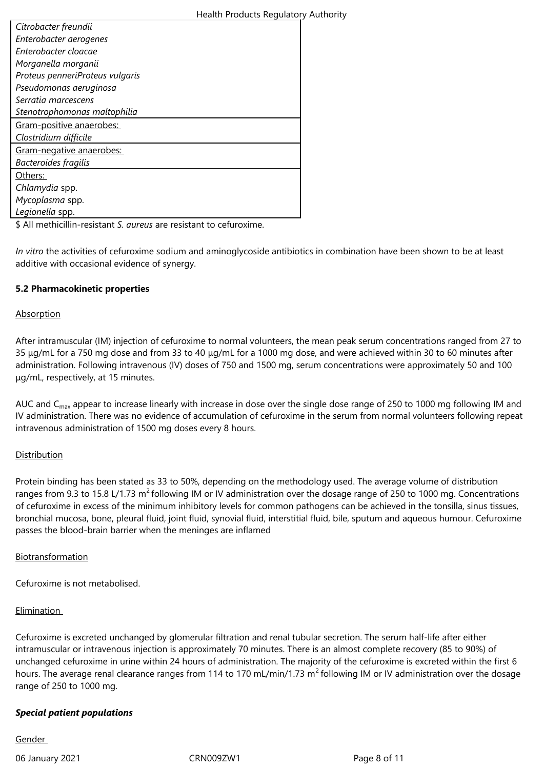### Health Products Regulatory Authority

| Citrobacter freundii            |
|---------------------------------|
| Enterobacter aerogenes          |
| Enterobacter cloacae            |
| Morganella morganii             |
| Proteus penneriProteus vulgaris |
| Pseudomonas aeruginosa          |
| Serratia marcescens             |
| Stenotrophomonas maltophilia    |
| Gram-positive anaerobes:        |
| Clostridium difficile           |
| Gram-negative anaerobes:        |
| Bacteroides fragilis            |
| Others:                         |
| Chlamydia spp.                  |
| Mycoplasma spp.                 |
| Legionella spp.                 |

\$ All methicillin-resistant *S. aureus* are resistant to cefuroxime.

*In vitro* the activities of cefuroxime sodium and aminoglycoside antibiotics in combination have been shown to be at least additive with occasional evidence of synergy.

### **5.2 Pharmacokinetic properties**

### Absorption

After intramuscular (IM) injection of cefuroxime to normal volunteers, the mean peak serum concentrations ranged from 27 to 35 μg/mL for a 750 mg dose and from 33 to 40 μg/mL for a 1000 mg dose, and were achieved within 30 to 60 minutes after administration. Following intravenous (IV) doses of 750 and 1500 mg, serum concentrations were approximately 50 and 100 μg/mL, respectively, at 15 minutes.

AUC and C<sub>max</sub> appear to increase linearly with increase in dose over the single dose range of 250 to 1000 mg following IM and IV administration. There was no evidence of accumulation of cefuroxime in the serum from normal volunteers following repeat intravenous administration of 1500 mg doses every 8 hours.

# Distribution

Protein binding has been stated as 33 to 50%, depending on the methodology used. The average volume of distribution ranges from 9.3 to 15.8 L/1.73  $m^2$  following IM or IV administration over the dosage range of 250 to 1000 mg. Concentrations of cefuroxime in excess of the minimum inhibitory levels for common pathogens can be achieved in the tonsilla, sinus tissues, bronchial mucosa, bone, pleural fluid, joint fluid, synovial fluid, interstitial fluid, bile, sputum and aqueous humour. Cefuroxime passes the blood-brain barrier when the meninges are inflamed

# Biotransformation

Cefuroxime is not metabolised.

# Elimination

Cefuroxime is excreted unchanged by glomerular filtration and renal tubular secretion. The serum half-life after either intramuscular or intravenous injection is approximately 70 minutes. There is an almost complete recovery (85 to 90%) of unchanged cefuroxime in urine within 24 hours of administration. The majority of the cefuroxime is excreted within the first 6 hours. The average renal clearance ranges from 114 to 170 mL/min/1.73  $m^2$  following IM or IV administration over the dosage range of 250 to 1000 mg.

# *Special patient populations*

Gender

06 January 2021 CRN009ZW1 Page 8 of 11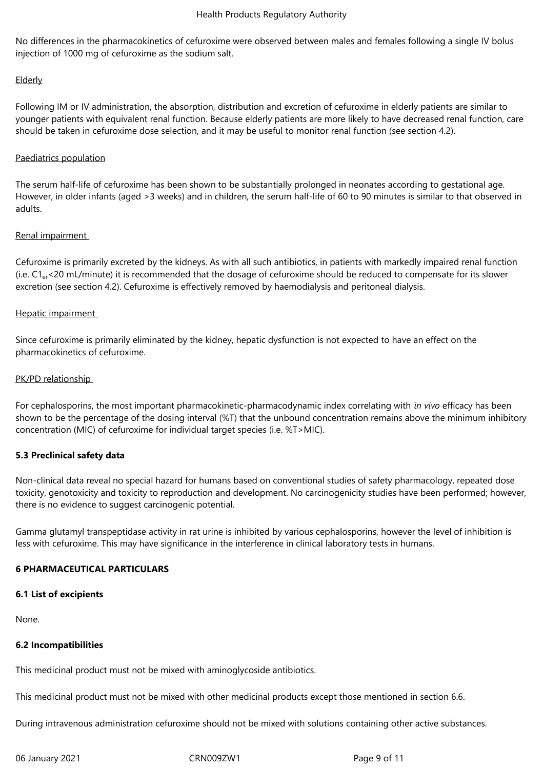No differences in the pharmacokinetics of cefuroxime were observed between males and females following a single IV bolus injection of 1000 mg of cefuroxime as the sodium salt.

# Elderly

Following IM or IV administration, the absorption, distribution and excretion of cefuroxime in elderly patients are similar to younger patients with equivalent renal function. Because elderly patients are more likely to have decreased renal function, care should be taken in cefuroxime dose selection, and it may be useful to monitor renal function (see section 4.2).

# Paediatrics population

The serum half-life of cefuroxime has been shown to be substantially prolonged in neonates according to gestational age. However, in older infants (aged >3 weeks) and in children, the serum half-life of 60 to 90 minutes is similar to that observed in adults.

# Renal impairment

Cefuroxime is primarily excreted by the kidneys. As with all such antibiotics, in patients with markedly impaired renal function (i.e. C1er<20 mL/minute) it is recommended that the dosage of cefuroxime should be reduced to compensate for its slower excretion (see section 4.2). Cefuroxime is effectively removed by haemodialysis and peritoneal dialysis.

# Hepatic impairment

Since cefuroxime is primarily eliminated by the kidney, hepatic dysfunction is not expected to have an effect on the pharmacokinetics of cefuroxime.

### PK/PD relationship

For cephalosporins, the most important pharmacokinetic-pharmacodynamic index correlating with *in vivo* efficacy has been shown to be the percentage of the dosing interval (%T) that the unbound concentration remains above the minimum inhibitory concentration (MIC) of cefuroxime for individual target species (i.e. %T>MIC).

### **5.3 Preclinical safety data**

Non-clinical data reveal no special hazard for humans based on conventional studies of safety pharmacology, repeated dose toxicity, genotoxicity and toxicity to reproduction and development. No carcinogenicity studies have been performed; however, there is no evidence to suggest carcinogenic potential.

Gamma glutamyl transpeptidase activity in rat urine is inhibited by various cephalosporins, however the level of inhibition is less with cefuroxime. This may have significance in the interference in clinical laboratory tests in humans.

### **6 PHARMACEUTICAL PARTICULARS**

### **6.1 List of excipients**

None.

### **6.2 Incompatibilities**

This medicinal product must not be mixed with aminoglycoside antibiotics.

This medicinal product must not be mixed with other medicinal products except those mentioned in section 6.6.

During intravenous administration cefuroxime should not be mixed with solutions containing other active substances.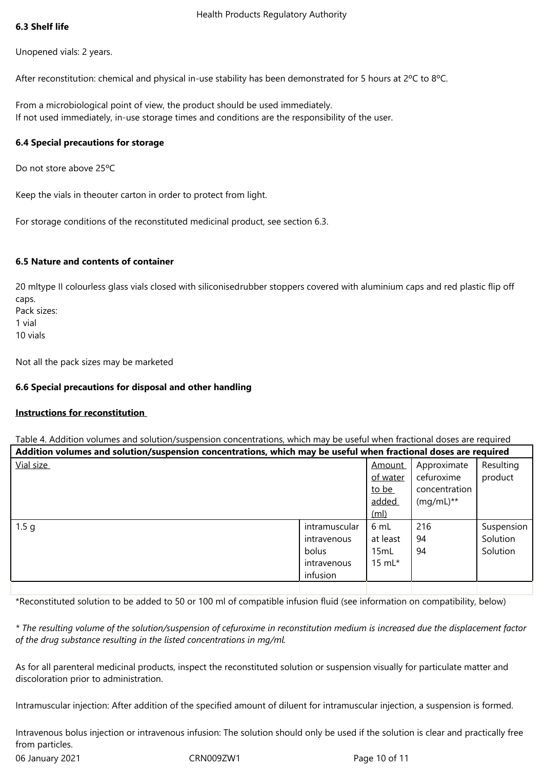# **6.3 Shelf life**

Unopened vials: 2 years.

After reconstitution: chemical and physical in-use stability has been demonstrated for 5 hours at 2°C to 8°C.

From a microbiological point of view, the product should be used immediately. If not used immediately, in-use storage times and conditions are the responsibility of the user.

# **6.4 Special precautions for storage**

Do not store above 25ºC

Keep the vials in theouter carton in order to protect from light.

For storage conditions of the reconstituted medicinal product, see section 6.3.

# **6.5 Nature and contents of container**

20 mltype II colourless glass vials closed with siliconisedrubber stoppers covered with aluminium caps and red plastic flip off caps. Pack sizes: 1 vial

10 vials

Not all the pack sizes may be marketed

### **6.6 Special precautions for disposal and other handling**

### **Instructions for reconstitution**

| Table 4. Addition volumes and solution/suspension concentrations, which may be useful when fractional doses are required |                                                                  |                                                                  |                                                              |                                    |
|--------------------------------------------------------------------------------------------------------------------------|------------------------------------------------------------------|------------------------------------------------------------------|--------------------------------------------------------------|------------------------------------|
| Addition volumes and solution/suspension concentrations, which may be useful when fractional doses are required          |                                                                  |                                                                  |                                                              |                                    |
| Vial size                                                                                                                |                                                                  | <b>Amount</b><br>of water<br>to be<br>added<br>(m <sub>l</sub> ) | Approximate<br>cefuroxime<br>concentration<br>$(mg/mL)^{**}$ | Resulting<br>product               |
| 1.5 <sub>q</sub>                                                                                                         | intramuscular<br>intravenous<br>bolus<br>intravenous<br>infusion | 6 mL<br>at least<br>15mL<br>15 m $L^*$                           | 216<br>94<br>94                                              | Suspension<br>Solution<br>Solution |
|                                                                                                                          |                                                                  |                                                                  |                                                              |                                    |

\*Reconstituted solution to be added to 50 or 100 ml of compatible infusion fluid (see information on compatibility, below)

*\* The resulting volume of the solution/suspension of cefuroxime in reconstitution medium is increased due the displacement factor of the drug substance resulting in the listed concentrations in mg/ml.* 

As for all parenteral medicinal products, inspect the reconstituted solution or suspension visually for particulate matter and discoloration prior to administration.

Intramuscular injection: After addition of the specified amount of diluent for intramuscular injection, a suspension is formed.

06 January 2021 CRN009ZW1 Page 10 of 11 Intravenous bolus injection or intravenous infusion: The solution should only be used if the solution is clear and practically free from particles.